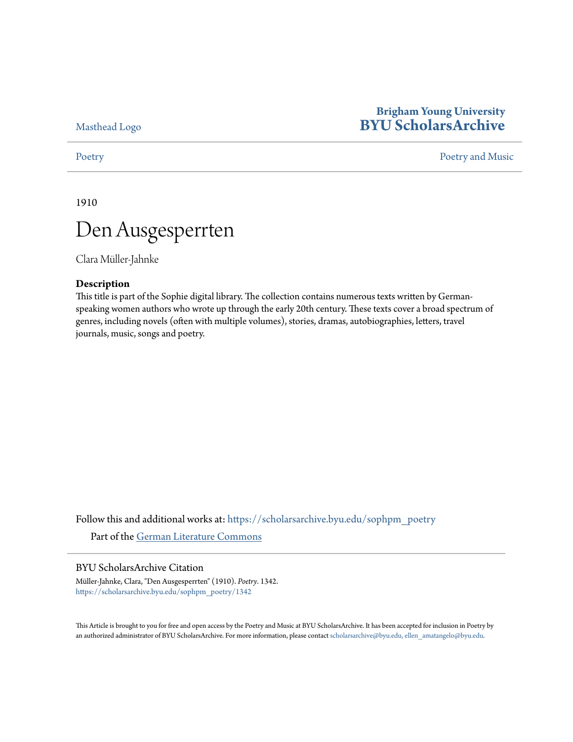[Masthead Logo](http://home.byu.edu/home/?utm_source=scholarsarchive.byu.edu%2Fsophpm_poetry%2F1342&utm_medium=PDF&utm_campaign=PDFCoverPages)

## **Brigham Young University [BYU ScholarsArchive](https://scholarsarchive.byu.edu?utm_source=scholarsarchive.byu.edu%2Fsophpm_poetry%2F1342&utm_medium=PDF&utm_campaign=PDFCoverPages)**

### [Poetry](https://scholarsarchive.byu.edu/sophpm_poetry?utm_source=scholarsarchive.byu.edu%2Fsophpm_poetry%2F1342&utm_medium=PDF&utm_campaign=PDFCoverPages) and Music [Poetry and Music](https://scholarsarchive.byu.edu/sophpm?utm_source=scholarsarchive.byu.edu%2Fsophpm_poetry%2F1342&utm_medium=PDF&utm_campaign=PDFCoverPages) Poetry and Music Poetry and Music Poetry and Music Poetry and Music Poetry and Music Poetry and Music Poetry and Music Poetry and Music Poetry and Music Poetry and Music Poetry and Music P

1910

# Den Ausgesperrten

Clara Müller-Jahnke

### **Description**

This title is part of the Sophie digital library. The collection contains numerous texts written by Germanspeaking women authors who wrote up through the early 20th century. These texts cover a broad spectrum of genres, including novels (often with multiple volumes), stories, dramas, autobiographies, letters, travel journals, music, songs and poetry.

Follow this and additional works at: [https://scholarsarchive.byu.edu/sophpm\\_poetry](https://scholarsarchive.byu.edu/sophpm_poetry?utm_source=scholarsarchive.byu.edu%2Fsophpm_poetry%2F1342&utm_medium=PDF&utm_campaign=PDFCoverPages) Part of the [German Literature Commons](http://network.bepress.com/hgg/discipline/469?utm_source=scholarsarchive.byu.edu%2Fsophpm_poetry%2F1342&utm_medium=PDF&utm_campaign=PDFCoverPages)

### BYU ScholarsArchive Citation

Müller-Jahnke, Clara, "Den Ausgesperrten" (1910). *Poetry*. 1342. [https://scholarsarchive.byu.edu/sophpm\\_poetry/1342](https://scholarsarchive.byu.edu/sophpm_poetry/1342?utm_source=scholarsarchive.byu.edu%2Fsophpm_poetry%2F1342&utm_medium=PDF&utm_campaign=PDFCoverPages)

This Article is brought to you for free and open access by the Poetry and Music at BYU ScholarsArchive. It has been accepted for inclusion in Poetry by an authorized administrator of BYU ScholarsArchive. For more information, please contact [scholarsarchive@byu.edu, ellen\\_amatangelo@byu.edu](mailto:scholarsarchive@byu.edu,%20ellen_amatangelo@byu.edu).